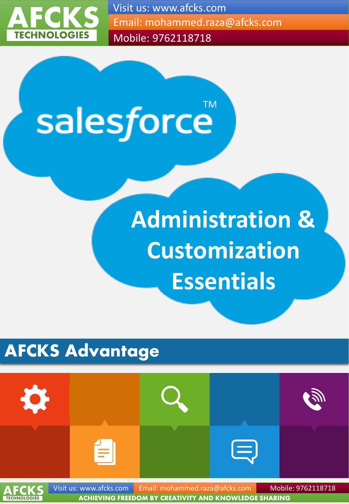

Visit us: www.afcks.com Email: mohammed.raza@afcks.com Mobile: 9762118718

salesforce™

# **Administration & Customization Essentials**

# **AFCKS Advantage**

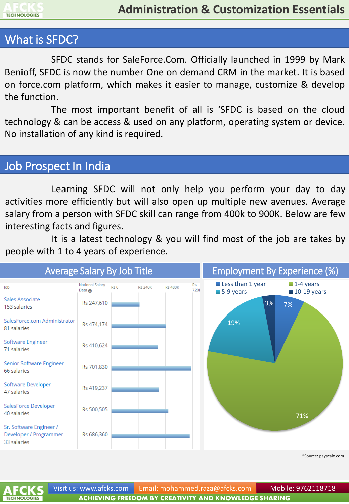

#### What is SFDC?

SFDC stands for SaleForce.Com. Officially launched in 1999 by Mark Benioff, SFDC is now the number One on demand CRM in the market. It is based on force.com platform, which makes it easier to manage, customize & develop the function.

The most important benefit of all is 'SFDC is based on the cloud technology & can be access & used on any platform, operating system or device. No installation of any kind is required.

#### Job Prospect In India

Learning SFDC will not only help you perform your day to day activities more efficiently but will also open up multiple new avenues. Average salary from a person with SFDC skill can range from 400k to 900K. Below are few interesting facts and figures.

It is a latest technology & you will find most of the job are takes by people with 1 to 4 years of experience.



\*Source: payscale.com

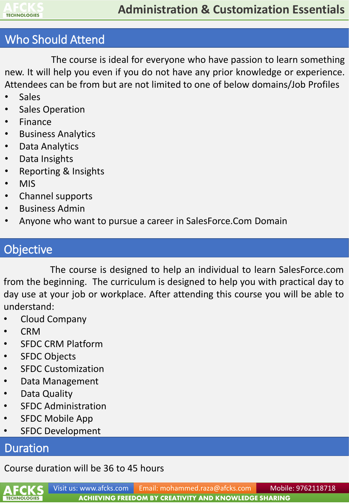

# Who Should Attend

The course is ideal for everyone who have passion to learn something new. It will help you even if you do not have any prior knowledge or experience. Attendees can be from but are not limited to one of below domains/Job Profiles

- **Sales**
- Sales Operation
- **Finance**
- Business Analytics
- Data Analytics
- Data Insights
- Reporting & Insights
- MIS
- Channel supports
- Business Admin
- Anyone who want to pursue a career in SalesForce.Com Domain

# **Objective**

The course is designed to help an individual to learn SalesForce.com from the beginning. The curriculum is designed to help you with practical day to day use at your job or workplace. After attending this course you will be able to understand:

- Cloud Company
- CRM
- SFDC CRM Platform
- SFDC Objects
- SFDC Customization
- Data Management
- Data Quality
- SFDC Administration
- SFDC Mobile App
- **SFDC Development**

#### Duration

#### Course duration will be 36 to 45 hours

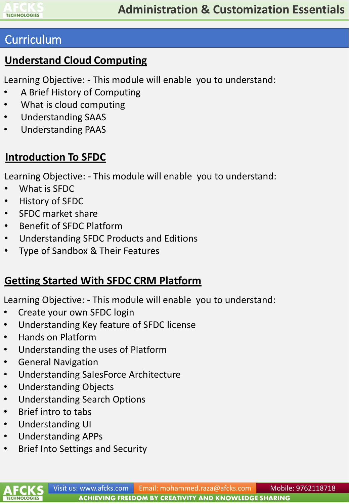

#### **Understand Cloud Computing**

Learning Objective: - This module will enable you to understand:

- A Brief History of Computing
- What is cloud computing
- Understanding SAAS
- Understanding PAAS

#### **Introduction To SFDC**

Learning Objective: - This module will enable you to understand:

- What is SFDC
- History of SFDC
- SFDC market share
- Benefit of SFDC Platform
- Understanding SFDC Products and Editions
- Type of Sandbox & Their Features

#### **Getting Started With SFDC CRM Platform**

- Create your own SFDC login
- Understanding Key feature of SFDC license
- Hands on Platform
- Understanding the uses of Platform
- General Navigation
- Understanding SalesForce Architecture
- Understanding Objects
- Understanding Search Options
- Brief intro to tabs
- Understanding UI
- Understanding APPs
- Brief Into Settings and Security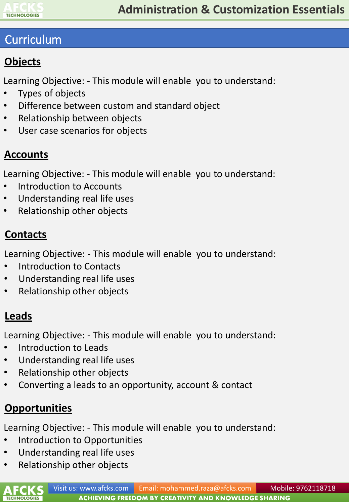

# **Objects**

Learning Objective: - This module will enable you to understand:

- Types of objects
- Difference between custom and standard object
- Relationship between objects
- User case scenarios for objects

# **Accounts**

Learning Objective: - This module will enable you to understand:

- Introduction to Accounts
- Understanding real life uses
- Relationship other objects

# **Contacts**

Learning Objective: - This module will enable you to understand:

- Introduction to Contacts
- Understanding real life uses
- Relationship other objects

# **Leads**

Learning Objective: - This module will enable you to understand:

- Introduction to Leads
- Understanding real life uses
- Relationship other objects
- Converting a leads to an opportunity, account & contact

# **Opportunities**

- Introduction to Opportunities
- Understanding real life uses
- Relationship other objects

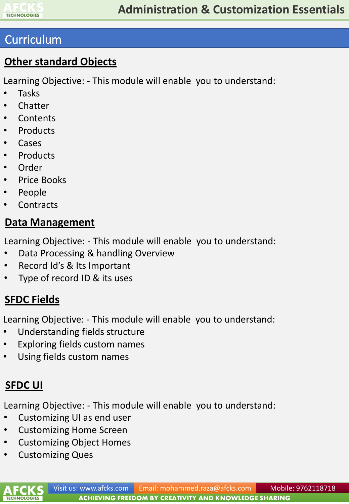

#### **Other standard Objects**

Learning Objective: - This module will enable you to understand:

- Tasks
- Chatter
- Contents
- Products
- Cases
- **Products**
- Order
- Price Books
- People
- Contracts

#### **Data Management**

Learning Objective: - This module will enable you to understand:

- Data Processing & handling Overview
- Record Id's & Its Important
- Type of record ID & its uses

# **SFDC Fields**

Learning Objective: - This module will enable you to understand:

- Understanding fields structure
- Exploring fields custom names
- Using fields custom names

# **SFDC UI**

**TECHNOLOGIES** 

- Customizing UI as end user
- Customizing Home Screen
- Customizing Object Homes
- Customizing Ques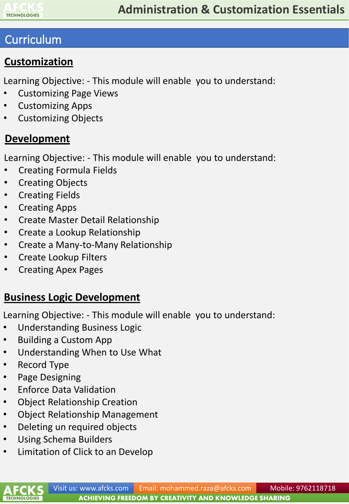

#### **Customization**

Learning Objective: - This module will enable you to understand:

- Customizing Page Views
- Customizing Apps
- Customizing Objects

#### **Development**

Learning Objective: - This module will enable you to understand:

- Creating Formula Fields
- Creating Objects
- Creating Fields
- Creating Apps
- Create Master Detail Relationship
- Create a Lookup Relationship
- Create a Many-to-Many Relationship
- Create Lookup Filters
- Creating Apex Pages

# **Business Logic Development**

- Understanding Business Logic
- Building a Custom App
- Understanding When to Use What
- Record Type
- Page Designing
- Enforce Data Validation
- Object Relationship Creation
- Object Relationship Management
- Deleting un required objects
- Using Schema Builders
- Limitation of Click to an Develop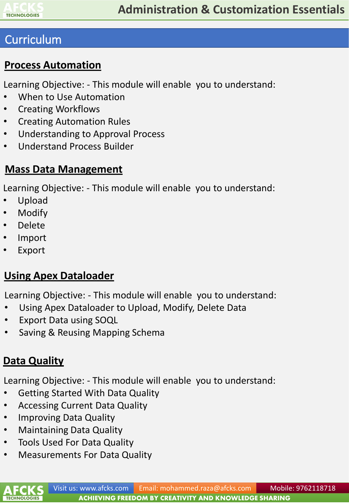

#### **Process Automation**

Learning Objective: - This module will enable you to understand:

- When to Use Automation
- Creating Workflows
- Creating Automation Rules
- Understanding to Approval Process
- Understand Process Builder

#### **Mass Data Management**

Learning Objective: - This module will enable you to understand:

- Upload
- Modify
- Delete
- Import
- Export

#### **Using Apex Dataloader**

Learning Objective: - This module will enable you to understand:

- Using Apex Dataloader to Upload, Modify, Delete Data
- **Export Data using SOQL**
- Saving & Reusing Mapping Schema

#### **Data Quality**

- Getting Started With Data Quality
- Accessing Current Data Quality
- Improving Data Quality
- Maintaining Data Quality
- Tools Used For Data Quality
- Measurements For Data Quality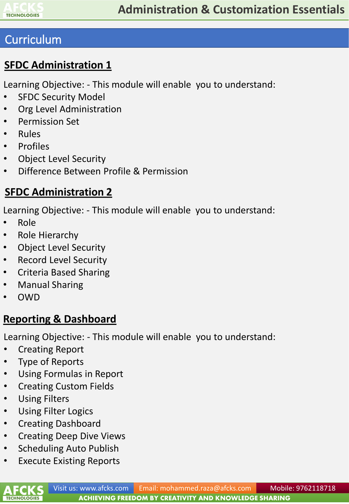

#### **SFDC Administration 1**

Learning Objective: - This module will enable you to understand:

- **SFDC Security Model**
- Org Level Administration
- Permission Set
- Rules
- Profiles
- Object Level Security
- Difference Between Profile & Permission

#### **SFDC Administration 2**

Learning Objective: - This module will enable you to understand:

- Role
- Role Hierarchy
- Object Level Security
- Record Level Security
- Criteria Based Sharing
- Manual Sharing
- OWD

#### **Reporting & Dashboard**

- Creating Report
- Type of Reports
- Using Formulas in Report
- Creating Custom Fields
- Using Filters
- Using Filter Logics
- Creating Dashboard
- Creating Deep Dive Views
- Scheduling Auto Publish
- Execute Existing Reports